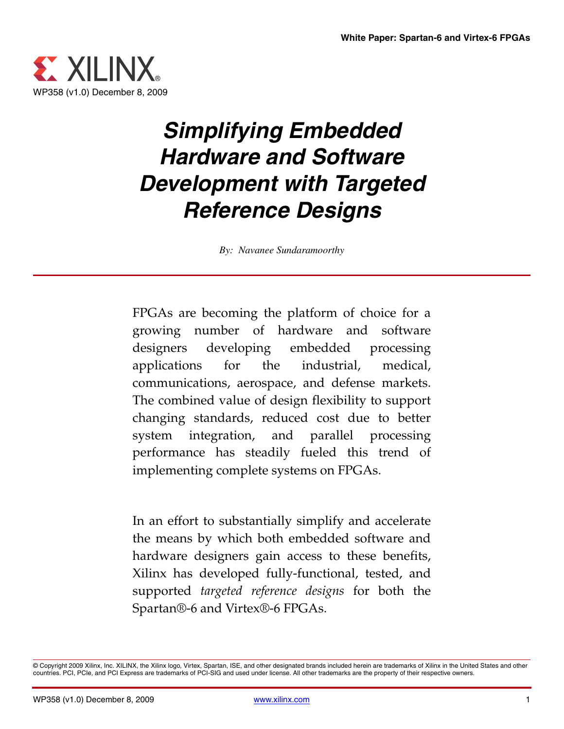

# *Simplifying Embedded Hardware and Software Development with Targeted Reference Designs*

*By: Navanee Sundaramoorthy*

FPGAs are becoming the platform of choice for a growing number of hardware and software designers developing embedded processing applications for the industrial, medical, communications, aerospace, and defense markets. The combined value of design flexibility to support changing standards, reduced cost due to better system integration, and parallel processing performance has steadily fueled this trend of implementing complete systems on FPGAs.

In an effort to substantially simplify and accelerate the means by which both embedded software and hardware designers gain access to these benefits, Xilinx has developed fully-functional, tested, and supported *targeted reference designs* for both the Spartan®-6 and Virtex®-6 FPGAs.

<sup>©</sup> Copyright 2009 Xilinx, Inc. XILINX, the Xilinx logo, Virtex, Spartan, ISE, and other designated brands included herein are trademarks of Xilinx in the United States and other countries. PCI, PCIe, and PCI Express are trademarks of PCI-SIG and used under license. All other trademarks are the property of their respective owners.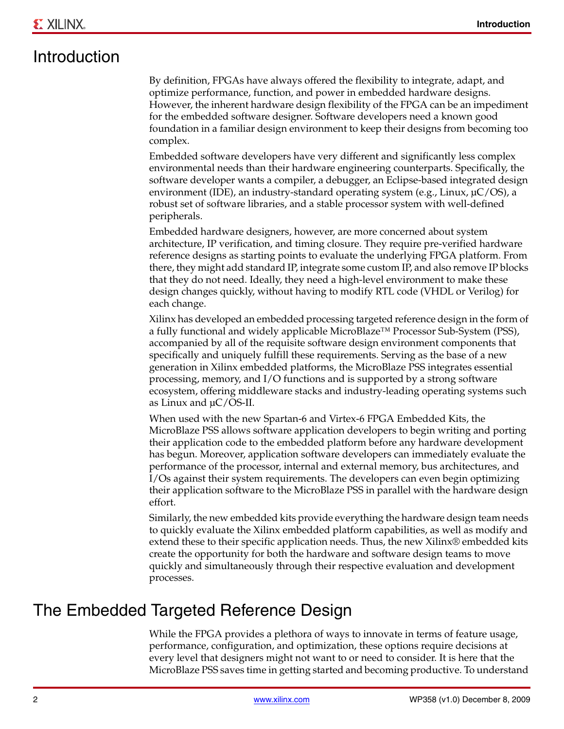### Introduction

By definition, FPGAs have always offered the flexibility to integrate, adapt, and optimize performance, function, and power in embedded hardware designs. However, the inherent hardware design flexibility of the FPGA can be an impediment for the embedded software designer. Software developers need a known good foundation in a familiar design environment to keep their designs from becoming too complex.

Embedded software developers have very different and significantly less complex environmental needs than their hardware engineering counterparts. Specifically, the software developer wants a compiler, a debugger, an Eclipse-based integrated design environment (IDE), an industry-standard operating system (e.g., Linux,  $\mu$ C/OS), a robust set of software libraries, and a stable processor system with well-defined peripherals.

Embedded hardware designers, however, are more concerned about system architecture, IP verification, and timing closure. They require pre-verified hardware reference designs as starting points to evaluate the underlying FPGA platform. From there, they might add standard IP, integrate some custom IP, and also remove IP blocks that they do not need. Ideally, they need a high-level environment to make these design changes quickly, without having to modify RTL code (VHDL or Verilog) for each change.

Xilinx has developed an embedded processing targeted reference design in the form of a fully functional and widely applicable MicroBlaze™ Processor Sub-System (PSS), accompanied by all of the requisite software design environment components that specifically and uniquely fulfill these requirements. Serving as the base of a new generation in Xilinx embedded platforms, the MicroBlaze PSS integrates essential processing, memory, and I/O functions and is supported by a strong software ecosystem, offering middleware stacks and industry-leading operating systems such as Linux and µC/OS-II.

When used with the new Spartan-6 and Virtex-6 FPGA Embedded Kits, the MicroBlaze PSS allows software application developers to begin writing and porting their application code to the embedded platform before any hardware development has begun. Moreover, application software developers can immediately evaluate the performance of the processor, internal and external memory, bus architectures, and I/Os against their system requirements. The developers can even begin optimizing their application software to the MicroBlaze PSS in parallel with the hardware design effort.

Similarly, the new embedded kits provide everything the hardware design team needs to quickly evaluate the Xilinx embedded platform capabilities, as well as modify and extend these to their specific application needs. Thus, the new Xilinx® embedded kits create the opportunity for both the hardware and software design teams to move quickly and simultaneously through their respective evaluation and development processes.

### The Embedded Targeted Reference Design

While the FPGA provides a plethora of ways to innovate in terms of feature usage, performance, configuration, and optimization, these options require decisions at every level that designers might not want to or need to consider. It is here that the MicroBlaze PSS saves time in getting started and becoming productive. To understand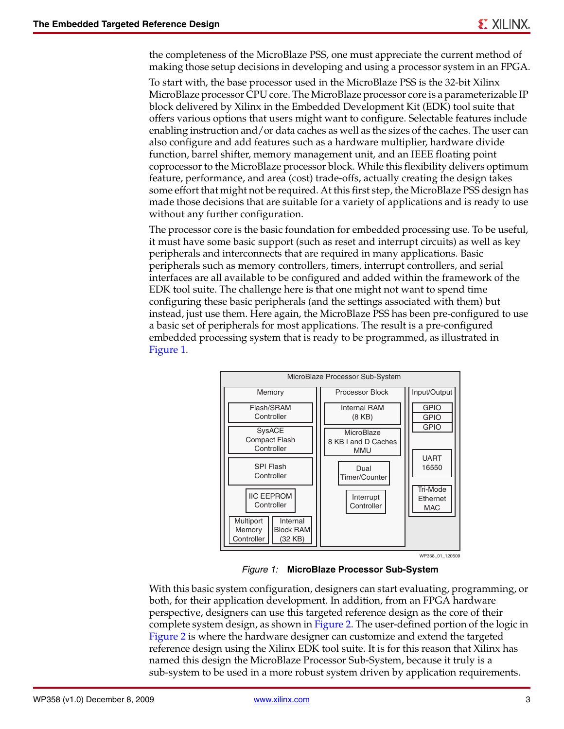the completeness of the MicroBlaze PSS, one must appreciate the current method of making those setup decisions in developing and using a processor system in an FPGA.

To start with, the base processor used in the MicroBlaze PSS is the 32-bit Xilinx MicroBlaze processor CPU core. The MicroBlaze processor core is a parameterizable IP block delivered by Xilinx in the Embedded Development Kit (EDK) tool suite that offers various options that users might want to configure. Selectable features include enabling instruction and/or data caches as well as the sizes of the caches. The user can also configure and add features such as a hardware multiplier, hardware divide function, barrel shifter, memory management unit, and an IEEE floating point coprocessor to the MicroBlaze processor block. While this flexibility delivers optimum feature, performance, and area (cost) trade-offs, actually creating the design takes some effort that might not be required. At this first step, the MicroBlaze PSS design has made those decisions that are suitable for a variety of applications and is ready to use without any further configuration.

The processor core is the basic foundation for embedded processing use. To be useful, it must have some basic support (such as reset and interrupt circuits) as well as key peripherals and interconnects that are required in many applications. Basic peripherals such as memory controllers, timers, interrupt controllers, and serial interfaces are all available to be configured and added within the framework of the EDK tool suite. The challenge here is that one might not want to spend time configuring these basic peripherals (and the settings associated with them) but instead, just use them. Here again, the MicroBlaze PSS has been pre-configured to use a basic set of peripherals for most applications. The result is a pre-configured embedded processing system that is ready to be programmed, as illustrated in [Figure 1.](#page-2-0)

<span id="page-2-0"></span>

WP358\_01\_120509

*Figure 1:* **MicroBlaze Processor Sub-System**

With this basic system configuration, designers can start evaluating, programming, or both, for their application development. In addition, from an FPGA hardware perspective, designers can use this targeted reference design as the core of their complete system design, as shown in [Figure 2](#page-3-0). The user-defined portion of the logic in [Figure 2](#page-3-0) is where the hardware designer can customize and extend the targeted reference design using the Xilinx EDK tool suite. It is for this reason that Xilinx has named this design the MicroBlaze Processor Sub-System, because it truly is a sub-system to be used in a more robust system driven by application requirements.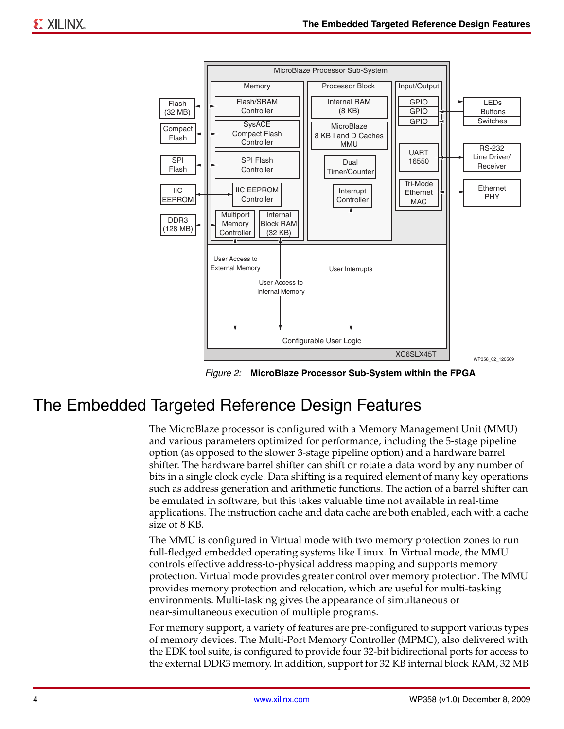<span id="page-3-0"></span>

*Figure 2:* **MicroBlaze Processor Sub-System within the FPGA**

### The Embedded Targeted Reference Design Features

The MicroBlaze processor is configured with a Memory Management Unit (MMU) and various parameters optimized for performance, including the 5-stage pipeline option (as opposed to the slower 3-stage pipeline option) and a hardware barrel shifter. The hardware barrel shifter can shift or rotate a data word by any number of bits in a single clock cycle. Data shifting is a required element of many key operations such as address generation and arithmetic functions. The action of a barrel shifter can be emulated in software, but this takes valuable time not available in real-time applications. The instruction cache and data cache are both enabled, each with a cache size of 8 KB.

The MMU is configured in Virtual mode with two memory protection zones to run full-fledged embedded operating systems like Linux. In Virtual mode, the MMU controls effective address-to-physical address mapping and supports memory protection. Virtual mode provides greater control over memory protection. The MMU provides memory protection and relocation, which are useful for multi-tasking environments. Multi-tasking gives the appearance of simultaneous or near-simultaneous execution of multiple programs.

For memory support, a variety of features are pre-configured to support various types of memory devices. The Multi-Port Memory Controller (MPMC), also delivered with the EDK tool suite, is configured to provide four 32-bit bidirectional ports for access to the external DDR3 memory. In addition, support for 32 KB internal block RAM, 32 MB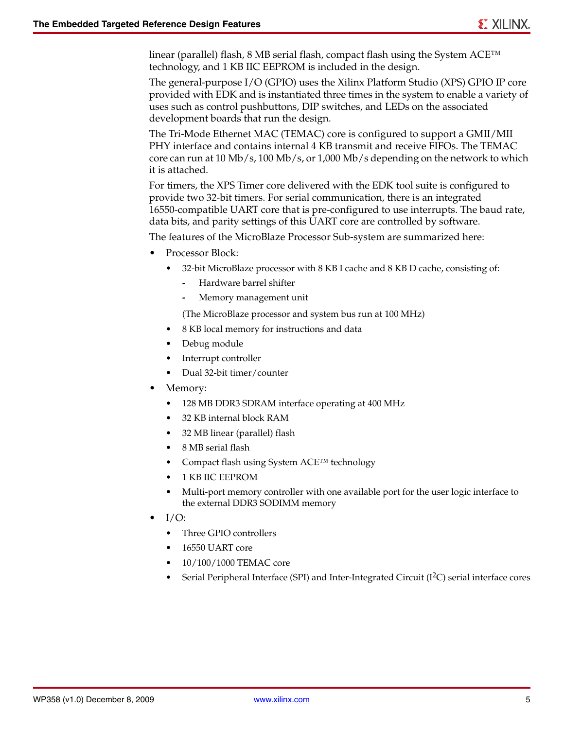linear (parallel) flash, 8 MB serial flash, compact flash using the System ACE™ technology, and 1 KB IIC EEPROM is included in the design.

The general-purpose I/O (GPIO) uses the Xilinx Platform Studio (XPS) GPIO IP core provided with EDK and is instantiated three times in the system to enable a variety of uses such as control pushbuttons, DIP switches, and LEDs on the associated development boards that run the design.

The Tri-Mode Ethernet MAC (TEMAC) core is configured to support a GMII/MII PHY interface and contains internal 4 KB transmit and receive FIFOs. The TEMAC core can run at 10 Mb/s, 100 Mb/s, or 1,000 Mb/s depending on the network to which it is attached.

For timers, the XPS Timer core delivered with the EDK tool suite is configured to provide two 32-bit timers. For serial communication, there is an integrated 16550-compatible UART core that is pre-configured to use interrupts. The baud rate, data bits, and parity settings of this UART core are controlled by software.

The features of the MicroBlaze Processor Sub-system are summarized here:

- Processor Block:
	- 32-bit MicroBlaze processor with 8 KB I cache and 8 KB D cache, consisting of:
		- **-** Hardware barrel shifter
		- **-** Memory management unit

(The MicroBlaze processor and system bus run at 100 MHz)

- 8 KB local memory for instructions and data
- Debug module
- Interrupt controller
- Dual 32-bit timer/counter
- Memory:
	- 128 MB DDR3 SDRAM interface operating at 400 MHz
	- 32 KB internal block RAM
	- 32 MB linear (parallel) flash
	- 8 MB serial flash
	- Compact flash using System ACE™ technology
	- 1 KB IIC EEPROM
	- Multi-port memory controller with one available port for the user logic interface to the external DDR3 SODIMM memory
- I/O:
	- Three GPIO controllers
	- 16550 UART core
	- 10/100/1000 TEMAC core
	- Serial Peripheral Interface (SPI) and Inter-Integrated Circuit  $(I<sup>2</sup>C)$  serial interface cores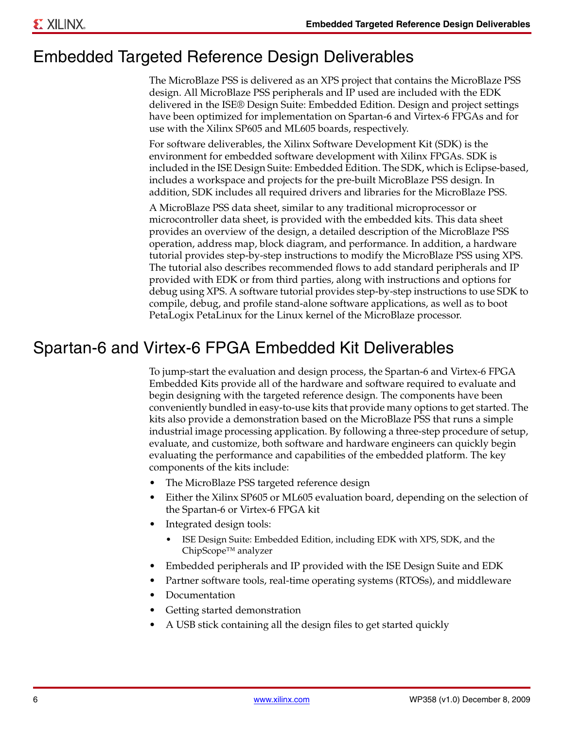### Embedded Targeted Reference Design Deliverables

The MicroBlaze PSS is delivered as an XPS project that contains the MicroBlaze PSS design. All MicroBlaze PSS peripherals and IP used are included with the EDK delivered in the ISE® Design Suite: Embedded Edition. Design and project settings have been optimized for implementation on Spartan-6 and Virtex-6 FPGAs and for use with the Xilinx SP605 and ML605 boards, respectively.

For software deliverables, the Xilinx Software Development Kit (SDK) is the environment for embedded software development with Xilinx FPGAs. SDK is included in the ISE Design Suite: Embedded Edition. The SDK, which is Eclipse-based, includes a workspace and projects for the pre-built MicroBlaze PSS design. In addition, SDK includes all required drivers and libraries for the MicroBlaze PSS.

A MicroBlaze PSS data sheet, similar to any traditional microprocessor or microcontroller data sheet, is provided with the embedded kits. This data sheet provides an overview of the design, a detailed description of the MicroBlaze PSS operation, address map, block diagram, and performance. In addition, a hardware tutorial provides step-by-step instructions to modify the MicroBlaze PSS using XPS. The tutorial also describes recommended flows to add standard peripherals and IP provided with EDK or from third parties, along with instructions and options for debug using XPS. A software tutorial provides step-by-step instructions to use SDK to compile, debug, and profile stand-alone software applications, as well as to boot PetaLogix PetaLinux for the Linux kernel of the MicroBlaze processor.

### Spartan-6 and Virtex-6 FPGA Embedded Kit Deliverables

To jump-start the evaluation and design process, the Spartan-6 and Virtex-6 FPGA Embedded Kits provide all of the hardware and software required to evaluate and begin designing with the targeted reference design. The components have been conveniently bundled in easy-to-use kits that provide many options to get started. The kits also provide a demonstration based on the MicroBlaze PSS that runs a simple industrial image processing application. By following a three-step procedure of setup, evaluate, and customize, both software and hardware engineers can quickly begin evaluating the performance and capabilities of the embedded platform. The key components of the kits include:

- The MicroBlaze PSS targeted reference design
- Either the Xilinx SP605 or ML605 evaluation board, depending on the selection of the Spartan-6 or Virtex-6 FPGA kit
- Integrated design tools:
	- ISE Design Suite: Embedded Edition, including EDK with XPS, SDK, and the ChipScope™ analyzer
- Embedded peripherals and IP provided with the ISE Design Suite and EDK
- Partner software tools, real-time operating systems (RTOSs), and middleware
- **Documentation**
- Getting started demonstration
- A USB stick containing all the design files to get started quickly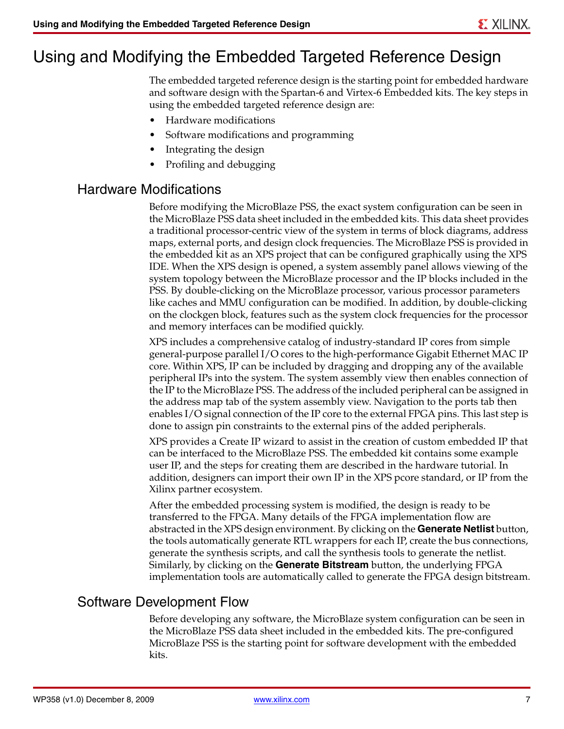## Using and Modifying the Embedded Targeted Reference Design

The embedded targeted reference design is the starting point for embedded hardware and software design with the Spartan-6 and Virtex-6 Embedded kits. The key steps in using the embedded targeted reference design are:

- Hardware modifications
- Software modifications and programming
- Integrating the design
- Profiling and debugging

#### Hardware Modifications

Before modifying the MicroBlaze PSS, the exact system configuration can be seen in the MicroBlaze PSS data sheet included in the embedded kits. This data sheet provides a traditional processor-centric view of the system in terms of block diagrams, address maps, external ports, and design clock frequencies. The MicroBlaze PSS is provided in the embedded kit as an XPS project that can be configured graphically using the XPS IDE. When the XPS design is opened, a system assembly panel allows viewing of the system topology between the MicroBlaze processor and the IP blocks included in the PSS. By double-clicking on the MicroBlaze processor, various processor parameters like caches and MMU configuration can be modified. In addition, by double-clicking on the clockgen block, features such as the system clock frequencies for the processor and memory interfaces can be modified quickly.

XPS includes a comprehensive catalog of industry-standard IP cores from simple general-purpose parallel I/O cores to the high-performance Gigabit Ethernet MAC IP core. Within XPS, IP can be included by dragging and dropping any of the available peripheral IPs into the system. The system assembly view then enables connection of the IP to the MicroBlaze PSS. The address of the included peripheral can be assigned in the address map tab of the system assembly view. Navigation to the ports tab then enables I/O signal connection of the IP core to the external FPGA pins. This last step is done to assign pin constraints to the external pins of the added peripherals.

XPS provides a Create IP wizard to assist in the creation of custom embedded IP that can be interfaced to the MicroBlaze PSS. The embedded kit contains some example user IP, and the steps for creating them are described in the hardware tutorial. In addition, designers can import their own IP in the XPS pcore standard, or IP from the Xilinx partner ecosystem.

After the embedded processing system is modified, the design is ready to be transferred to the FPGA. Many details of the FPGA implementation flow are abstracted in the XPS design environment. By clicking on the **Generate Netlist** button, the tools automatically generate RTL wrappers for each IP, create the bus connections, generate the synthesis scripts, and call the synthesis tools to generate the netlist. Similarly, by clicking on the **Generate Bitstream** button, the underlying FPGA implementation tools are automatically called to generate the FPGA design bitstream.

### Software Development Flow

Before developing any software, the MicroBlaze system configuration can be seen in the MicroBlaze PSS data sheet included in the embedded kits. The pre-configured MicroBlaze PSS is the starting point for software development with the embedded kits.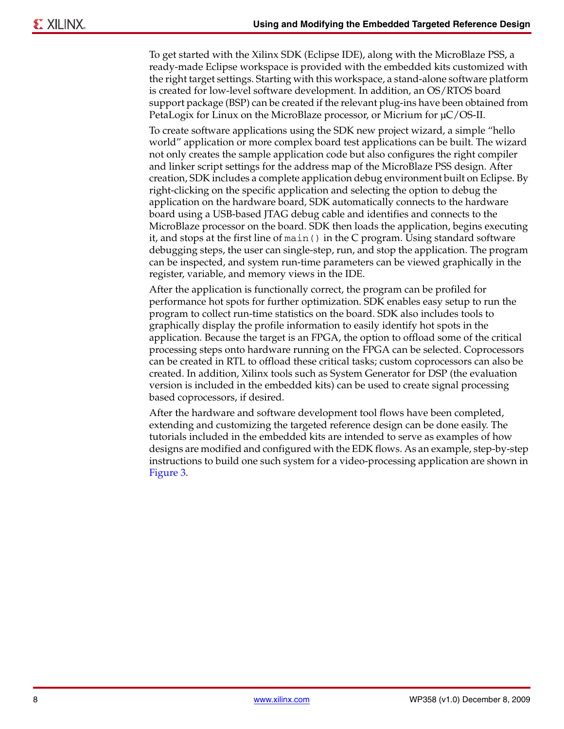To get started with the Xilinx SDK (Eclipse IDE), along with the MicroBlaze PSS, a ready-made Eclipse workspace is provided with the embedded kits customized with the right target settings. Starting with this workspace, a stand-alone software platform is created for low-level software development. In addition, an OS/RTOS board support package (BSP) can be created if the relevant plug-ins have been obtained from PetaLogix for Linux on the MicroBlaze processor, or Micrium for  $\mu$ C/OS-II.

To create software applications using the SDK new project wizard, a simple "hello world" application or more complex board test applications can be built. The wizard not only creates the sample application code but also configures the right compiler and linker script settings for the address map of the MicroBlaze PSS design. After creation, SDK includes a complete application debug environment built on Eclipse. By right-clicking on the specific application and selecting the option to debug the application on the hardware board, SDK automatically connects to the hardware board using a USB-based JTAG debug cable and identifies and connects to the MicroBlaze processor on the board. SDK then loads the application, begins executing it, and stops at the first line of main() in the C program. Using standard software debugging steps, the user can single-step, run, and stop the application. The program can be inspected, and system run-time parameters can be viewed graphically in the register, variable, and memory views in the IDE.

After the application is functionally correct, the program can be profiled for performance hot spots for further optimization. SDK enables easy setup to run the program to collect run-time statistics on the board. SDK also includes tools to graphically display the profile information to easily identify hot spots in the application. Because the target is an FPGA, the option to offload some of the critical processing steps onto hardware running on the FPGA can be selected. Coprocessors can be created in RTL to offload these critical tasks; custom coprocessors can also be created. In addition, Xilinx tools such as System Generator for DSP (the evaluation version is included in the embedded kits) can be used to create signal processing based coprocessors, if desired.

After the hardware and software development tool flows have been completed, extending and customizing the targeted reference design can be done easily. The tutorials included in the embedded kits are intended to serve as examples of how designs are modified and configured with the EDK flows. As an example, step-by-step instructions to build one such system for a video-processing application are shown in [Figure 3.](#page-8-0)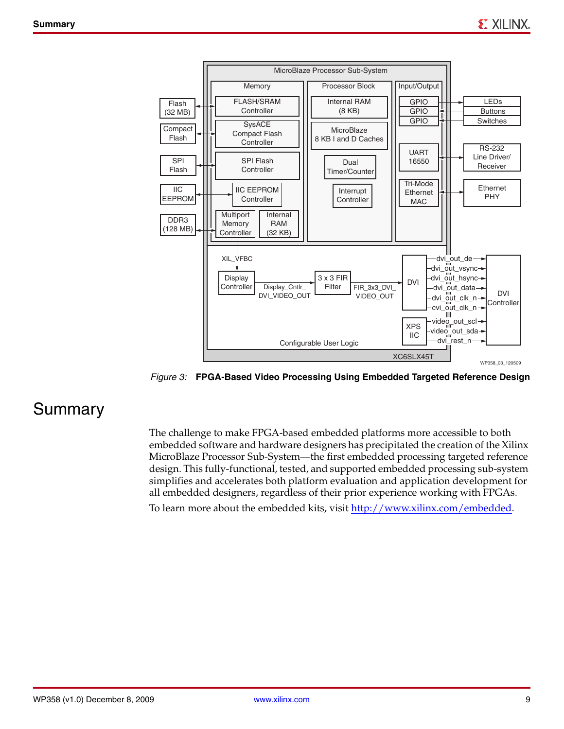<span id="page-8-0"></span>

*Figure 3:* **FPGA-Based Video Processing Using Embedded Targeted Reference Design**

### Summary

The challenge to make FPGA-based embedded platforms more accessible to both embedded software and hardware designers has precipitated the creation of the Xilinx MicroBlaze Processor Sub-System—the first embedded processing targeted reference design. This fully-functional, tested, and supported embedded processing sub-system simplifies and accelerates both platform evaluation and application development for all embedded designers, regardless of their prior experience working with FPGAs.

[To learn more about the embedded kits, visit](http://www.xilinx.com/embedded) http://www.xilinx.com/embedded.